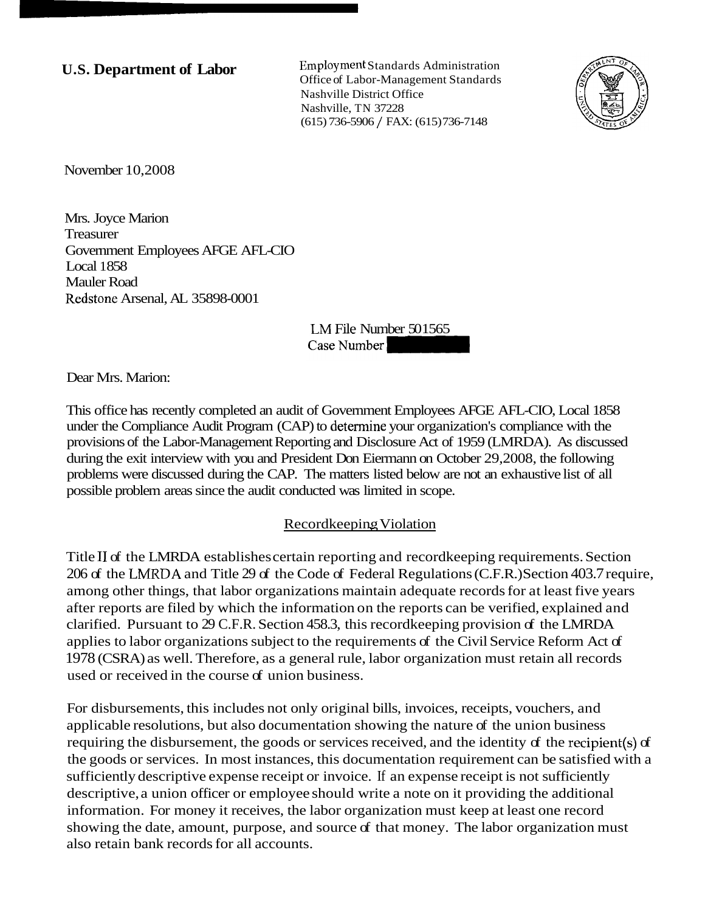**U.S. Department of Labor** Employment Standards Administration Office of Labor-Management Standards Nashville District Office Nashville, TN 37228 (615) 736-5906 / FAX: (615) 736-7148



November 10,2008

Mrs. Joyce Marion Treasurer Government Employees AFGE AFL-CIO Local 1858 Mauler Road Redstone Arsenal, AL 35898-0001

> LM File Number 501565 Case Number

Dear Mrs. Marion:

This office has recently completed an audit of Government Employees AFGE AFL-CIO, Local 1858 under the Compliance Audit Program (CAP) to determine your organization's compliance with the provisions of the Labor-Management Reporting and Disclosure Act of 1959 (LMRDA). As discussed during the exit interview with you and President Don Eiermann on October 29,2008, the following problems were discussed during the CAP. The matters listed below are not an exhaustive list of all possible problem areas since the audit conducted was limited in scope.

#### Recordkeeping Violation

Title I1 of the LMRDA establishes certain reporting and recordkeeping requirements. Section 206 of the LNIRDA and Title 29 of the Code of Federal Regulations (C.F.R.) Section 403.7 require, among other things, that labor organizations maintain adequate records for at least five years after reports are filed by which the information on the reports can be verified, explained and clarified. Pursuant to 29 C.F.R. Section 458.3, this recordkeeping provision of the LMRDA applies to labor organizations subject to the requirements of the Civil Service Reform Act of 1978 (CSRA) as well. Therefore, as a general rule, labor organization must retain all records used or received in the course of union business.

For disbursements, this includes not only original bills, invoices, receipts, vouchers, and applicable resolutions, but also documentation showing the nature of the union business requiring the disbursement, the goods or services received, and the identity of the recipient(s) of the goods or services. In most instances, this documentation requirement can be satisfied with a sufficiently descriptive expense receipt or invoice. If an expense receipt is not sufficiently descriptive, a union officer or employee should write a note on it providing the additional information. For money it receives, the labor organization must keep at least one record showing the date, amount, purpose, and source of that money. The labor organization must also retain bank records for all accounts.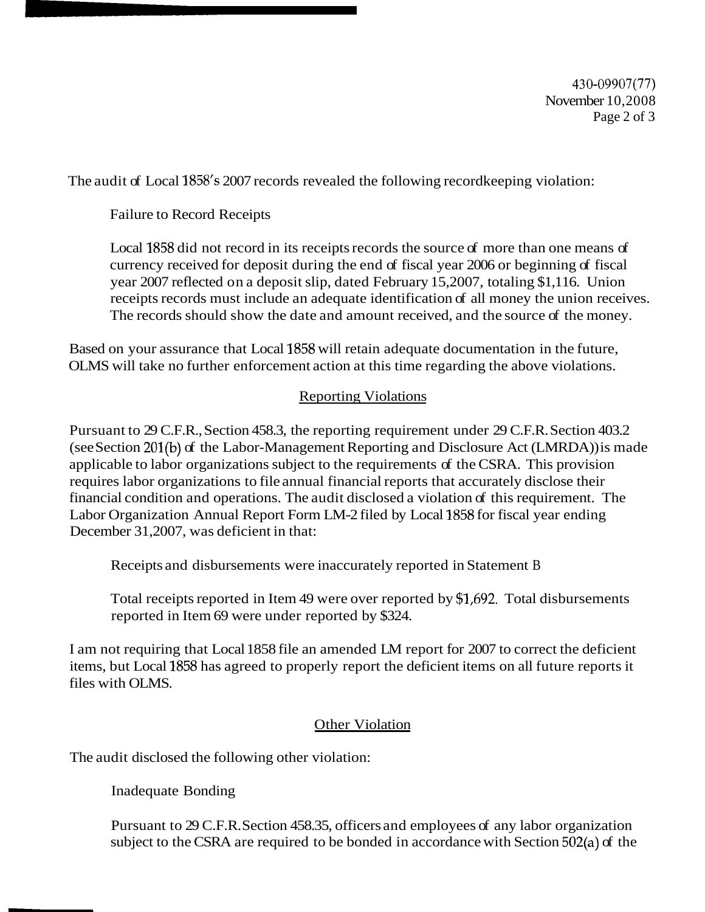430-09907(77) November 10,2008 Page 2 of 3

The audit of Local 1858's 2007 records revealed the following recordkeeping violation:

Failure to Record Receipts

Local 1858 did not record in its receipts records the source of more than one means of currency received for deposit during the end of fiscal year 2006 or beginning of fiscal year 2007 reflected on a deposit slip, dated February 15,2007, totaling \$1,116. Union receipts records must include an adequate identification of all money the union receives. The records should show the date and amount received, and the source of the money.

Based on your assurance that Local 1858 will retain adequate documentation in the future, OLMS will take no further enforcement action at this time regarding the above violations.

# Reporting Violations

Pursuant to 29 C.F.R., Section 458.3, the reporting requirement under 29 C.F.R. Section 403.2 (see Section 201(b) of the Labor-Management Reporting and Disclosure Act (LMRDA)) is made applicable to labor organizations subject to the requirements of the CSRA. This provision requires labor organizations to file annual financial reports that accurately disclose their financial condition and operations. The audit disclosed a violation of this requirement. The Labor Organization Annual Report Form LM-2 filed by Local 1858 for fiscal year ending December 31,2007, was deficient in that:

Receipts and disbursements were inaccurately reported in Statement B

Total receipts reported in Item 49 were over reported by \$1,692. Total disbursements reported in Item 69 were under reported by \$324.

I am not requiring that Local 1858 file an amended LM report for 2007 to correct the deficient items, but Local 1858 has agreed to properly report the deficient items on all future reports it files with OLMS.

### Other Violation

The audit disclosed the following other violation:

Inadequate Bonding

Pursuant to 29 C.F.R. Section 458.35, officers and employees of any labor organization subject to the CSRA are required to be bonded in accordance with Section 502(a) of the